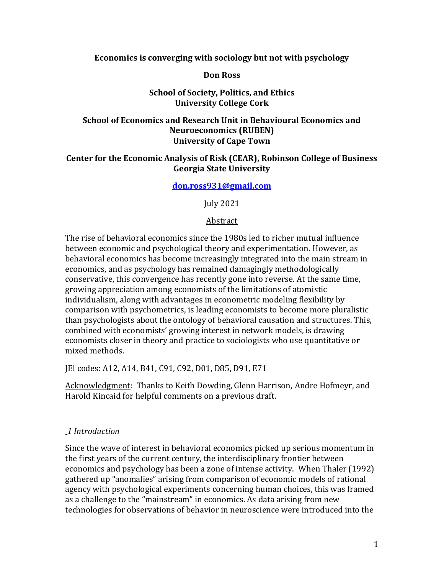### **Economics is converging with sociology but not with psychology**

**Don Ross**

## **School of Society, Politics, and Ethics University College Cork**

# **School of Economics and Research Unit in Behavioural Economics and Neuroeconomics (RUBEN) University of Cape Town**

### **Center for the Economic Analysis of Risk (CEAR), Robinson College of Business Georgia State University**

#### **[don.ross931@gmail.com](mailto:don.ross931@gmail.com)**

July 2021

#### Abstract

The rise of behavioral economics since the 1980s led to richer mutual influence between economic and psychological theory and experimentation. However, as behavioral economics has become increasingly integrated into the main stream in economics, and as psychology has remained damagingly methodologically conservative, this convergence has recently gone into reverse. At the same time, growing appreciation among economists of the limitations of atomistic individualism, along with advantages in econometric modeling flexibility by comparison with psychometrics, is leading economists to become more pluralistic than psychologists about the ontology of behavioral causation and structures. This, combined with economists' growing interest in network models, is drawing economists closer in theory and practice to sociologists who use quantitative or mixed methods.

JEl codes: A12, A14, B41, C91, C92, D01, D85, D91, E71

Acknowledgment: Thanks to Keith Dowding, Glenn Harrison, Andre Hofmeyr, and Harold Kincaid for helpful comments on a previous draft.

## *1 Introduction*

Since the wave of interest in behavioral economics picked up serious momentum in the first years of the current century, the interdisciplinary frontier between economics and psychology has been a zone of intense activity. When Thaler (1992) gathered up "anomalies" arising from comparison of economic models of rational agency with psychological experiments concerning human choices, this was framed as a challenge to the "mainstream" in economics. As data arising from new technologies for observations of behavior in neuroscience were introduced into the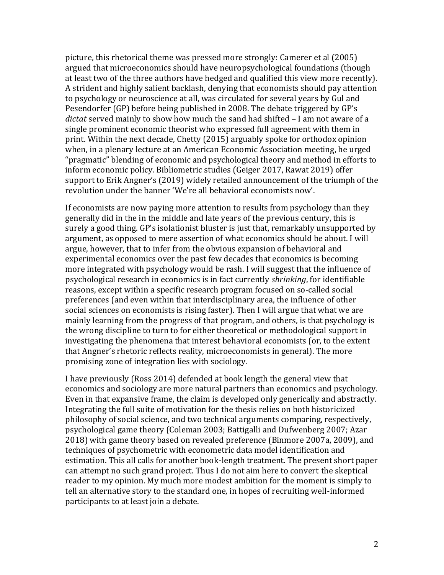picture, this rhetorical theme was pressed more strongly: Camerer et al (2005) argued that microeconomics should have neuropsychological foundations (though at least two of the three authors have hedged and qualified this view more recently). A strident and highly salient backlash, denying that economists should pay attention to psychology or neuroscience at all, was circulated for several years by Gul and Pesendorfer (GP) before being published in 2008. The debate triggered by GP's *dictat* served mainly to show how much the sand had shifted – I am not aware of a single prominent economic theorist who expressed full agreement with them in print. Within the next decade, Chetty (2015) arguably spoke for orthodox opinion when, in a plenary lecture at an American Economic Association meeting, he urged "pragmatic" blending of economic and psychological theory and method in efforts to inform economic policy. Bibliometric studies (Geiger 2017, Rawat 2019) offer support to Erik Angner's (2019) widely retailed announcement of the triumph of the revolution under the banner 'We're all behavioral economists now'.

If economists are now paying more attention to results from psychology than they generally did in the in the middle and late years of the previous century, this is surely a good thing. GP's isolationist bluster is just that, remarkably unsupported by argument, as opposed to mere assertion of what economics should be about. I will argue, however, that to infer from the obvious expansion of behavioral and experimental economics over the past few decades that economics is becoming more integrated with psychology would be rash. I will suggest that the influence of psychological research in economics is in fact currently *shrinking*, for identifiable reasons, except within a specific research program focused on so-called social preferences (and even within that interdisciplinary area, the influence of other social sciences on economists is rising faster). Then I will argue that what we are mainly learning from the progress of that program, and others, is that psychology is the wrong discipline to turn to for either theoretical or methodological support in investigating the phenomena that interest behavioral economists (or, to the extent that Angner's rhetoric reflects reality, microeconomists in general). The more promising zone of integration lies with sociology.

I have previously (Ross 2014) defended at book length the general view that economics and sociology are more natural partners than economics and psychology. Even in that expansive frame, the claim is developed only generically and abstractly. Integrating the full suite of motivation for the thesis relies on both historicized philosophy of social science, and two technical arguments comparing, respectively, psychological game theory (Coleman 2003; Battigalli and Dufwenberg 2007; Azar 2018) with game theory based on revealed preference (Binmore 2007a, 2009), and techniques of psychometric with econometric data model identification and estimation. This all calls for another book-length treatment. The present short paper can attempt no such grand project. Thus I do not aim here to convert the skeptical reader to my opinion. My much more modest ambition for the moment is simply to tell an alternative story to the standard one, in hopes of recruiting well-informed participants to at least join a debate.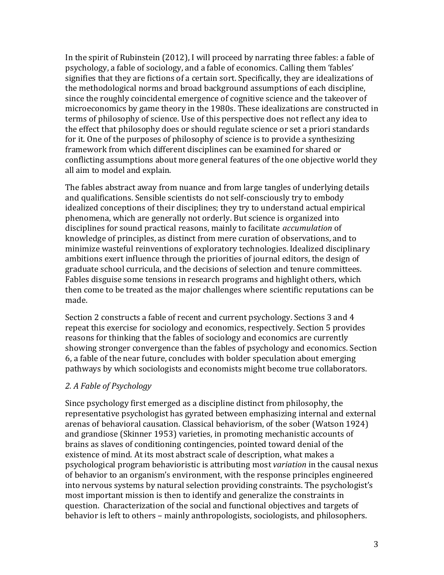In the spirit of Rubinstein (2012), I will proceed by narrating three fables: a fable of psychology, a fable of sociology, and a fable of economics. Calling them 'fables' signifies that they are fictions of a certain sort. Specifically, they are idealizations of the methodological norms and broad background assumptions of each discipline, since the roughly coincidental emergence of cognitive science and the takeover of microeconomics by game theory in the 1980s. These idealizations are constructed in terms of philosophy of science. Use of this perspective does not reflect any idea to the effect that philosophy does or should regulate science or set a priori standards for it. One of the purposes of philosophy of science is to provide a synthesizing framework from which different disciplines can be examined for shared or conflicting assumptions about more general features of the one objective world they all aim to model and explain.

The fables abstract away from nuance and from large tangles of underlying details and qualifications. Sensible scientists do not self-consciously try to embody idealized conceptions of their disciplines; they try to understand actual empirical phenomena, which are generally not orderly. But science is organized into disciplines for sound practical reasons, mainly to facilitate *accumulation* of knowledge of principles, as distinct from mere curation of observations, and to minimize wasteful reinventions of exploratory technologies. Idealized disciplinary ambitions exert influence through the priorities of journal editors, the design of graduate school curricula, and the decisions of selection and tenure committees. Fables disguise some tensions in research programs and highlight others, which then come to be treated as the major challenges where scientific reputations can be made.

Section 2 constructs a fable of recent and current psychology. Sections 3 and 4 repeat this exercise for sociology and economics, respectively. Section 5 provides reasons for thinking that the fables of sociology and economics are currently showing stronger convergence than the fables of psychology and economics. Section 6, a fable of the near future, concludes with bolder speculation about emerging pathways by which sociologists and economists might become true collaborators.

## *2. A Fable of Psychology*

Since psychology first emerged as a discipline distinct from philosophy, the representative psychologist has gyrated between emphasizing internal and external arenas of behavioral causation. Classical behaviorism, of the sober (Watson 1924) and grandiose (Skinner 1953) varieties, in promoting mechanistic accounts of brains as slaves of conditioning contingencies, pointed toward denial of the existence of mind. At its most abstract scale of description, what makes a psychological program behavioristic is attributing most *variation* in the causal nexus of behavior to an organism's environment, with the response principles engineered into nervous systems by natural selection providing constraints. The psychologist's most important mission is then to identify and generalize the constraints in question. Characterization of the social and functional objectives and targets of behavior is left to others – mainly anthropologists, sociologists, and philosophers.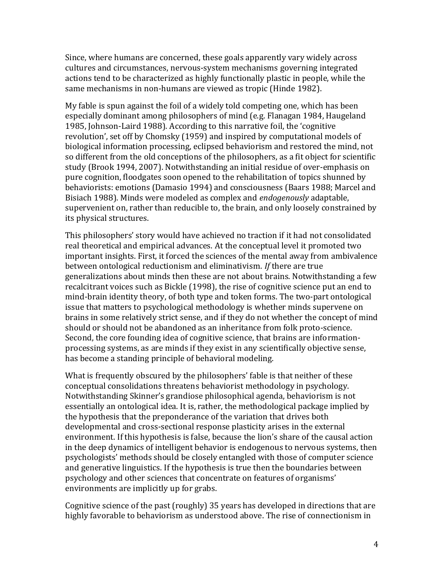Since, where humans are concerned, these goals apparently vary widely across cultures and circumstances, nervous-system mechanisms governing integrated actions tend to be characterized as highly functionally plastic in people, while the same mechanisms in non-humans are viewed as tropic (Hinde 1982).

My fable is spun against the foil of a widely told competing one, which has been especially dominant among philosophers of mind (e.g. Flanagan 1984, Haugeland 1985, Johnson-Laird 1988). According to this narrative foil, the 'cognitive revolution', set off by Chomsky (1959) and inspired by computational models of biological information processing, eclipsed behaviorism and restored the mind, not so different from the old conceptions of the philosophers, as a fit object for scientific study (Brook 1994, 2007). Notwithstanding an initial residue of over-emphasis on pure cognition, floodgates soon opened to the rehabilitation of topics shunned by behaviorists: emotions (Damasio 1994) and consciousness (Baars 1988; Marcel and Bisiach 1988). Minds were modeled as complex and *endogenously* adaptable, supervenient on, rather than reducible to, the brain, and only loosely constrained by its physical structures.

This philosophers' story would have achieved no traction if it had not consolidated real theoretical and empirical advances. At the conceptual level it promoted two important insights. First, it forced the sciences of the mental away from ambivalence between ontological reductionism and eliminativism. *If* there are true generalizations about minds then these are not about brains. Notwithstanding a few recalcitrant voices such as Bickle (1998), the rise of cognitive science put an end to mind-brain identity theory, of both type and token forms. The two-part ontological issue that matters to psychological methodology is whether minds supervene on brains in some relatively strict sense, and if they do not whether the concept of mind should or should not be abandoned as an inheritance from folk proto-science. Second, the core founding idea of cognitive science, that brains are informationprocessing systems, as are minds if they exist in any scientifically objective sense, has become a standing principle of behavioral modeling.

What is frequently obscured by the philosophers' fable is that neither of these conceptual consolidations threatens behaviorist methodology in psychology. Notwithstanding Skinner's grandiose philosophical agenda, behaviorism is not essentially an ontological idea. It is, rather, the methodological package implied by the hypothesis that the preponderance of the variation that drives both developmental and cross-sectional response plasticity arises in the external environment. If this hypothesis is false, because the lion's share of the causal action in the deep dynamics of intelligent behavior is endogenous to nervous systems, then psychologists' methods should be closely entangled with those of computer science and generative linguistics. If the hypothesis is true then the boundaries between psychology and other sciences that concentrate on features of organisms' environments are implicitly up for grabs.

Cognitive science of the past (roughly) 35 years has developed in directions that are highly favorable to behaviorism as understood above. The rise of connectionism in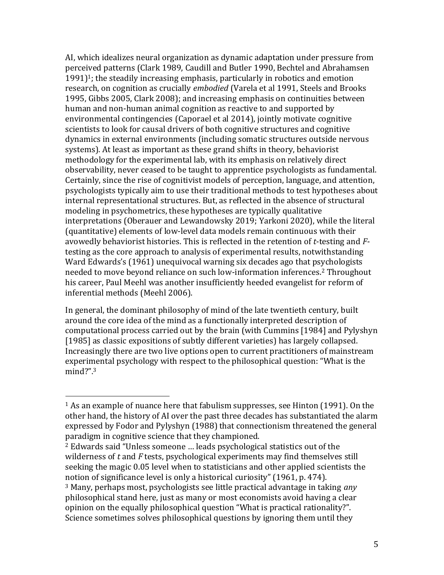AI, which idealizes neural organization as dynamic adaptation under pressure from perceived patterns (Clark 1989, Caudill and Butler 1990, Bechtel and Abrahamsen  $1991$ <sup>1</sup>; the steadily increasing emphasis, particularly in robotics and emotion research, on cognition as crucially *embodied* (Varela et al 1991, Steels and Brooks 1995, Gibbs 2005, Clark 2008); and increasing emphasis on continuities between human and non-human animal cognition as reactive to and supported by environmental contingencies (Caporael et al 2014), jointly motivate cognitive scientists to look for causal drivers of both cognitive structures and cognitive dynamics in external environments (including somatic structures outside nervous systems). At least as important as these grand shifts in theory, behaviorist methodology for the experimental lab, with its emphasis on relatively direct observability, never ceased to be taught to apprentice psychologists as fundamental. Certainly, since the rise of cognitivist models of perception, language, and attention, psychologists typically aim to use their traditional methods to test hypotheses about internal representational structures. But, as reflected in the absence of structural modeling in psychometrics, these hypotheses are typically qualitative interpretations (Oberauer and Lewandowsky 2019; Yarkoni 2020), while the literal (quantitative) elements of low-level data models remain continuous with their avowedly behaviorist histories. This is reflected in the retention of *t*-testing and *F*testing as the core approach to analysis of experimental results, notwithstanding Ward Edwards's (1961) unequivocal warning six decades ago that psychologists needed to move beyond reliance on such low-information inferences.<sup>2</sup> Throughout his career, Paul Meehl was another insufficiently heeded evangelist for reform of inferential methods (Meehl 2006).

In general, the dominant philosophy of mind of the late twentieth century, built around the core idea of the mind as a functionally interpreted description of computational process carried out by the brain (with Cummins [1984] and Pylyshyn [1985] as classic expositions of subtly different varieties] has largely collapsed. Increasingly there are two live options open to current practitioners of mainstream experimental psychology with respect to the philosophical question: "What is the mind?".<sup>3</sup>

<sup>1</sup> As an example of nuance here that fabulism suppresses, see Hinton (1991). On the other hand, the history of AI over the past three decades has substantiated the alarm expressed by Fodor and Pylyshyn (1988) that connectionism threatened the general paradigm in cognitive science that they championed.

<sup>2</sup> Edwards said "Unless someone … leads psychological statistics out of the wilderness of *t* and *F* tests, psychological experiments may find themselves still seeking the magic 0.05 level when to statisticians and other applied scientists the notion of significance level is only a historical curiosity" (1961, p. 474). <sup>3</sup> Many, perhaps most, psychologists see little practical advantage in taking *any*  philosophical stand here, just as many or most economists avoid having a clear opinion on the equally philosophical question "What is practical rationality?". Science sometimes solves philosophical questions by ignoring them until they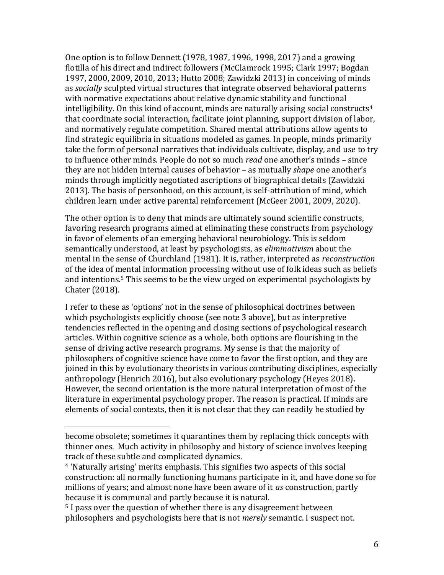One option is to follow Dennett (1978, 1987, 1996, 1998, 2017) and a growing flotilla of his direct and indirect followers (McClamrock 1995; Clark 1997; Bogdan 1997, 2000, 2009, 2010, 2013; Hutto 2008; Zawidzki 2013) in conceiving of minds as *socially* sculpted virtual structures that integrate observed behavioral patterns with normative expectations about relative dynamic stability and functional intelligibility. On this kind of account, minds are naturally arising social constructs<sup>4</sup> that coordinate social interaction, facilitate joint planning, support division of labor, and normatively regulate competition. Shared mental attributions allow agents to find strategic equilibria in situations modeled as games. In people, minds primarily take the form of personal narratives that individuals cultivate, display, and use to try to influence other minds. People do not so much *read* one another's minds – since they are not hidden internal causes of behavior – as mutually *shape* one another's minds through implicitly negotiated ascriptions of biographical details (Zawidzki 2013). The basis of personhood, on this account, is self-attribution of mind, which children learn under active parental reinforcement (McGeer 2001, 2009, 2020).

The other option is to deny that minds are ultimately sound scientific constructs, favoring research programs aimed at eliminating these constructs from psychology in favor of elements of an emerging behavioral neurobiology. This is seldom semantically understood, at least by psychologists, as *eliminativism* about the mental in the sense of Churchland (1981). It is, rather, interpreted as *reconstruction* of the idea of mental information processing without use of folk ideas such as beliefs and intentions.<sup>5</sup> This seems to be the view urged on experimental psychologists by Chater (2018).

I refer to these as 'options' not in the sense of philosophical doctrines between which psychologists explicitly choose (see note 3 above), but as interpretive tendencies reflected in the opening and closing sections of psychological research articles. Within cognitive science as a whole, both options are flourishing in the sense of driving active research programs. My sense is that the majority of philosophers of cognitive science have come to favor the first option, and they are joined in this by evolutionary theorists in various contributing disciplines, especially anthropology (Henrich 2016), but also evolutionary psychology (Heyes 2018). However, the second orientation is the more natural interpretation of most of the literature in experimental psychology proper. The reason is practical. If minds are elements of social contexts, then it is not clear that they can readily be studied by

become obsolete; sometimes it quarantines them by replacing thick concepts with thinner ones. Much activity in philosophy and history of science involves keeping track of these subtle and complicated dynamics.

<sup>4</sup> 'Naturally arising' merits emphasis. This signifies two aspects of this social construction: all normally functioning humans participate in it, and have done so for millions of years; and almost none have been aware of it *as* construction, partly because it is communal and partly because it is natural.

<sup>5</sup> I pass over the question of whether there is any disagreement between philosophers and psychologists here that is not *merely* semantic. I suspect not.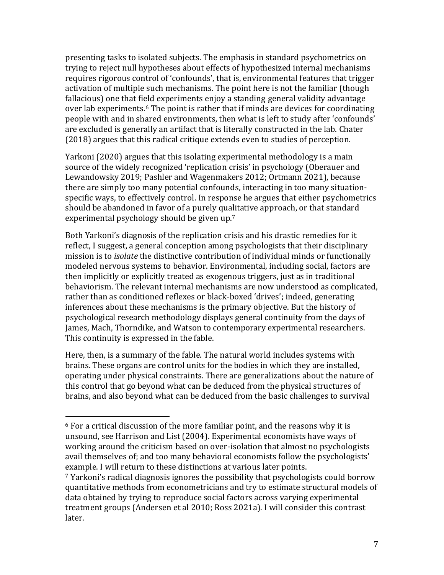presenting tasks to isolated subjects. The emphasis in standard psychometrics on trying to reject null hypotheses about effects of hypothesized internal mechanisms requires rigorous control of 'confounds', that is, environmental features that trigger activation of multiple such mechanisms. The point here is not the familiar (though fallacious) one that field experiments enjoy a standing general validity advantage over lab experiments.<sup>6</sup> The point is rather that if minds are devices for coordinating people with and in shared environments, then what is left to study after 'confounds' are excluded is generally an artifact that is literally constructed in the lab. Chater (2018) argues that this radical critique extends even to studies of perception.

Yarkoni (2020) argues that this isolating experimental methodology is a main source of the widely recognized 'replication crisis' in psychology (Oberauer and Lewandowsky 2019; Pashler and Wagenmakers 2012; Ortmann 2021), because there are simply too many potential confounds, interacting in too many situationspecific ways, to effectively control. In response he argues that either psychometrics should be abandoned in favor of a purely qualitative approach, or that standard experimental psychology should be given up.<sup>7</sup>

Both Yarkoni's diagnosis of the replication crisis and his drastic remedies for it reflect, I suggest, a general conception among psychologists that their disciplinary mission is to *isolate* the distinctive contribution of individual minds or functionally modeled nervous systems to behavior. Environmental, including social, factors are then implicitly or explicitly treated as exogenous triggers, just as in traditional behaviorism. The relevant internal mechanisms are now understood as complicated, rather than as conditioned reflexes or black-boxed 'drives'; indeed, generating inferences about these mechanisms is the primary objective. But the history of psychological research methodology displays general continuity from the days of James, Mach, Thorndike, and Watson to contemporary experimental researchers. This continuity is expressed in the fable.

Here, then, is a summary of the fable. The natural world includes systems with brains. These organs are control units for the bodies in which they are installed, operating under physical constraints. There are generalizations about the nature of this control that go beyond what can be deduced from the physical structures of brains, and also beyond what can be deduced from the basic challenges to survival

 $6$  For a critical discussion of the more familiar point, and the reasons why it is unsound, see Harrison and List (2004). Experimental economists have ways of working around the criticism based on over-isolation that almost no psychologists avail themselves of; and too many behavioral economists follow the psychologists' example. I will return to these distinctions at various later points.

<sup>7</sup> Yarkoni's radical diagnosis ignores the possibility that psychologists could borrow quantitative methods from econometricians and try to estimate structural models of data obtained by trying to reproduce social factors across varying experimental treatment groups (Andersen et al 2010; Ross 2021a). I will consider this contrast later.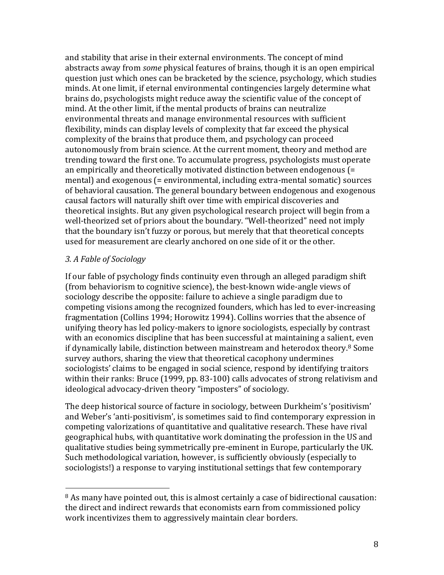and stability that arise in their external environments. The concept of mind abstracts away from *some* physical features of brains, though it is an open empirical question just which ones can be bracketed by the science, psychology, which studies minds. At one limit, if eternal environmental contingencies largely determine what brains do, psychologists might reduce away the scientific value of the concept of mind. At the other limit, if the mental products of brains can neutralize environmental threats and manage environmental resources with sufficient flexibility, minds can display levels of complexity that far exceed the physical complexity of the brains that produce them, and psychology can proceed autonomously from brain science. At the current moment, theory and method are trending toward the first one. To accumulate progress, psychologists must operate an empirically and theoretically motivated distinction between endogenous (= mental) and exogenous (= environmental, including extra-mental somatic) sources of behavioral causation. The general boundary between endogenous and exogenous causal factors will naturally shift over time with empirical discoveries and theoretical insights. But any given psychological research project will begin from a well-theorized set of priors about the boundary. "Well-theorized" need not imply that the boundary isn't fuzzy or porous, but merely that that theoretical concepts used for measurement are clearly anchored on one side of it or the other.

### *3. A Fable of Sociology*

If our fable of psychology finds continuity even through an alleged paradigm shift (from behaviorism to cognitive science), the best-known wide-angle views of sociology describe the opposite: failure to achieve a single paradigm due to competing visions among the recognized founders, which has led to ever-increasing fragmentation (Collins 1994; Horowitz 1994). Collins worries that the absence of unifying theory has led policy-makers to ignore sociologists, especially by contrast with an economics discipline that has been successful at maintaining a salient, even if dynamically labile, distinction between mainstream and heterodox theory.<sup>8</sup> Some survey authors, sharing the view that theoretical cacophony undermines sociologists' claims to be engaged in social science, respond by identifying traitors within their ranks: Bruce (1999, pp. 83-100) calls advocates of strong relativism and ideological advocacy-driven theory "imposters" of sociology.

The deep historical source of facture in sociology, between Durkheim's 'positivism' and Weber's 'anti-positivism', is sometimes said to find contemporary expression in competing valorizations of quantitative and qualitative research. These have rival geographical hubs, with quantitative work dominating the profession in the US and qualitative studies being symmetrically pre-eminent in Europe, particularly the UK. Such methodological variation, however, is sufficiently obviously (especially to sociologists!) a response to varying institutional settings that few contemporary

<sup>&</sup>lt;sup>8</sup> As many have pointed out, this is almost certainly a case of bidirectional causation: the direct and indirect rewards that economists earn from commissioned policy work incentivizes them to aggressively maintain clear borders.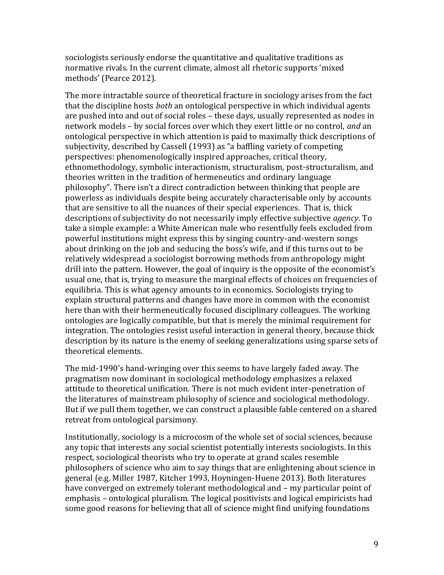sociologists seriously endorse the quantitative and qualitative traditions as normative rivals. In the current climate, almost all rhetoric supports 'mixed methods' (Pearce 2012).

The more intractable source of theoretical fracture in sociology arises from the fact that the discipline hosts *both* an ontological perspective in which individual agents are pushed into and out of social roles – these days, usually represented as nodes in network models – by social forces over which they exert little or no control, *and* an ontological perspective in which attention is paid to maximally thick descriptions of subjectivity, described by Cassell (1993) as "a baffling variety of competing perspectives: phenomenologically inspired approaches, critical theory, ethnomethodology, symbolic interactionism, structuralism, post-structuralism, and theories written in the tradition of hermeneutics and ordinary language philosophy". There isn't a direct contradiction between thinking that people are powerless as individuals despite being accurately characterisable only by accounts that are sensitive to all the nuances of their special experiences. That is, thick descriptions of subjectivity do not necessarily imply effective subjective *agency*. To take a simple example: a White American male who resentfully feels excluded from powerful institutions might express this by singing country-and-western songs about drinking on the job and seducing the boss's wife, and if this turns out to be relatively widespread a sociologist borrowing methods from anthropology might drill into the pattern. However, the goal of inquiry is the opposite of the economist's usual one, that is, trying to measure the marginal effects of choices on frequencies of equilibria. This is what agency amounts to in economics. Sociologists trying to explain structural patterns and changes have more in common with the economist here than with their hermeneutically focused disciplinary colleagues. The working ontologies are logically compatible, but that is merely the minimal requirement for integration. The ontologies resist useful interaction in general theory, because thick description by its nature is the enemy of seeking generalizations using sparse sets of theoretical elements.

The mid-1990's hand-wringing over this seems to have largely faded away. The pragmatism now dominant in sociological methodology emphasizes a relaxed attitude to theoretical unification. There is not much evident inter-penetration of the literatures of mainstream philosophy of science and sociological methodology. But if we pull them together, we can construct a plausible fable centered on a shared retreat from ontological parsimony.

Institutionally, sociology is a microcosm of the whole set of social sciences, because any topic that interests any social scientist potentially interests sociologists. In this respect, sociological theorists who try to operate at grand scales resemble philosophers of science who aim to say things that are enlightening about science in general (e.g. Miller 1987, Kitcher 1993, Hoyningen-Huene 2013). Both literatures have converged on extremely tolerant methodological and – my particular point of emphasis – ontological pluralism. The logical positivists and logical empiricists had some good reasons for believing that all of science might find unifying foundations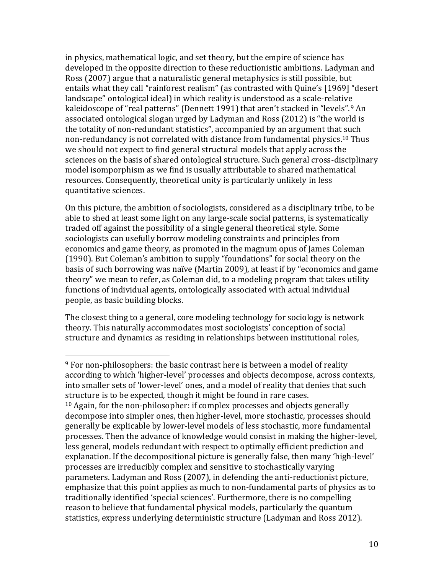in physics, mathematical logic, and set theory, but the empire of science has developed in the opposite direction to these reductionistic ambitions. Ladyman and Ross (2007) argue that a naturalistic general metaphysics is still possible, but entails what they call "rainforest realism" (as contrasted with Quine's [1969] "desert landscape" ontological ideal) in which reality is understood as a scale-relative kaleidoscope of "real patterns" (Dennett 1991) that aren't stacked in "levels".<sup>9</sup> An associated ontological slogan urged by Ladyman and Ross (2012) is "the world is the totality of non-redundant statistics", accompanied by an argument that such non-redundancy is not correlated with distance from fundamental physics. <sup>10</sup> Thus we should not expect to find general structural models that apply across the sciences on the basis of shared ontological structure. Such general cross-disciplinary model isomporphism as we find is usually attributable to shared mathematical resources. Consequently, theoretical unity is particularly unlikely in less quantitative sciences.

On this picture, the ambition of sociologists, considered as a disciplinary tribe, to be able to shed at least some light on any large-scale social patterns, is systematically traded off against the possibility of a single general theoretical style. Some sociologists can usefully borrow modeling constraints and principles from economics and game theory, as promoted in the magnum opus of James Coleman (1990). But Coleman's ambition to supply "foundations" for social theory on the basis of such borrowing was naïve (Martin 2009), at least if by "economics and game theory" we mean to refer, as Coleman did, to a modeling program that takes utility functions of individual agents, ontologically associated with actual individual people, as basic building blocks.

The closest thing to a general, core modeling technology for sociology is network theory. This naturally accommodates most sociologists' conception of social structure and dynamics as residing in relationships between institutional roles,

 $9$  For non-philosophers: the basic contrast here is between a model of reality according to which 'higher-level' processes and objects decompose, across contexts, into smaller sets of 'lower-level' ones, and a model of reality that denies that such structure is to be expected, though it might be found in rare cases. <sup>10</sup> Again, for the non-philosopher: if complex processes and objects generally decompose into simpler ones, then higher-level, more stochastic, processes should generally be explicable by lower-level models of less stochastic, more fundamental processes. Then the advance of knowledge would consist in making the higher-level, less general, models redundant with respect to optimally efficient prediction and explanation. If the decompositional picture is generally false, then many 'high-level' processes are irreducibly complex and sensitive to stochastically varying parameters. Ladyman and Ross (2007), in defending the anti-reductionist picture, emphasize that this point applies as much to non-fundamental parts of physics as to traditionally identified 'special sciences'. Furthermore, there is no compelling reason to believe that fundamental physical models, particularly the quantum statistics, express underlying deterministic structure (Ladyman and Ross 2012).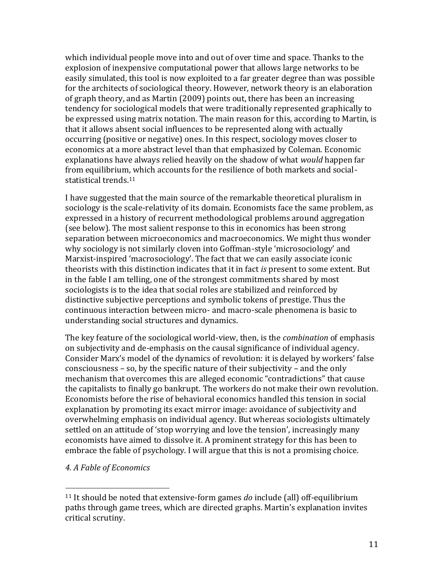which individual people move into and out of over time and space. Thanks to the explosion of inexpensive computational power that allows large networks to be easily simulated, this tool is now exploited to a far greater degree than was possible for the architects of sociological theory. However, network theory is an elaboration of graph theory, and as Martin (2009) points out, there has been an increasing tendency for sociological models that were traditionally represented graphically to be expressed using matrix notation. The main reason for this, according to Martin, is that it allows absent social influences to be represented along with actually occurring (positive or negative) ones. In this respect, sociology moves closer to economics at a more abstract level than that emphasized by Coleman. Economic explanations have always relied heavily on the shadow of what *would* happen far from equilibrium, which accounts for the resilience of both markets and socialstatistical trends.<sup>11</sup>

I have suggested that the main source of the remarkable theoretical pluralism in sociology is the scale-relativity of its domain. Economists face the same problem, as expressed in a history of recurrent methodological problems around aggregation (see below). The most salient response to this in economics has been strong separation between microeconomics and macroeconomics. We might thus wonder why sociology is not similarly cloven into Goffman-style 'microsociology' and Marxist-inspired 'macrosociology'. The fact that we can easily associate iconic theorists with this distinction indicates that it in fact *is* present to some extent. But in the fable I am telling, one of the strongest commitments shared by most sociologists is to the idea that social roles are stabilized and reinforced by distinctive subjective perceptions and symbolic tokens of prestige. Thus the continuous interaction between micro- and macro-scale phenomena is basic to understanding social structures and dynamics.

The key feature of the sociological world-view, then, is the *combination* of emphasis on subjectivity and de-emphasis on the causal significance of individual agency. Consider Marx's model of the dynamics of revolution: it is delayed by workers' false consciousness – so, by the specific nature of their subjectivity – and the only mechanism that overcomes this are alleged economic "contradictions" that cause the capitalists to finally go bankrupt. The workers do not make their own revolution. Economists before the rise of behavioral economics handled this tension in social explanation by promoting its exact mirror image: avoidance of subjectivity and overwhelming emphasis on individual agency. But whereas sociologists ultimately settled on an attitude of 'stop worrying and love the tension', increasingly many economists have aimed to dissolve it. A prominent strategy for this has been to embrace the fable of psychology. I will argue that this is not a promising choice.

#### *4. A Fable of Economics*

<sup>11</sup> It should be noted that extensive-form games *do* include (all) off-equilibrium paths through game trees, which are directed graphs. Martin's explanation invites critical scrutiny.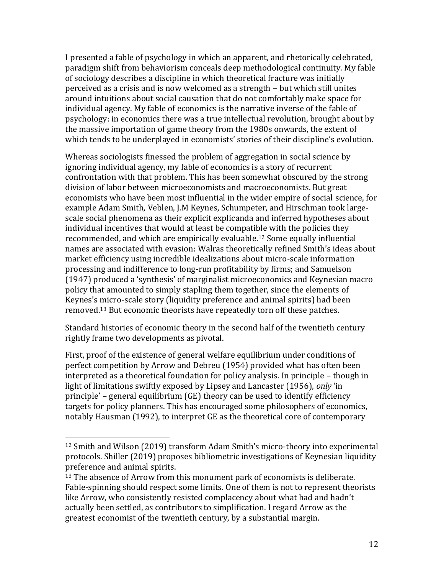I presented a fable of psychology in which an apparent, and rhetorically celebrated, paradigm shift from behaviorism conceals deep methodological continuity. My fable of sociology describes a discipline in which theoretical fracture was initially perceived as a crisis and is now welcomed as a strength – but which still unites around intuitions about social causation that do not comfortably make space for individual agency. My fable of economics is the narrative inverse of the fable of psychology: in economics there was a true intellectual revolution, brought about by the massive importation of game theory from the 1980s onwards, the extent of which tends to be underplayed in economists' stories of their discipline's evolution.

Whereas sociologists finessed the problem of aggregation in social science by ignoring individual agency, my fable of economics is a story of recurrent confrontation with that problem. This has been somewhat obscured by the strong division of labor between microeconomists and macroeconomists. But great economists who have been most influential in the wider empire of social science, for example Adam Smith, Veblen, J.M Keynes, Schumpeter, and Hirschman took largescale social phenomena as their explicit explicanda and inferred hypotheses about individual incentives that would at least be compatible with the policies they recommended, and which are empirically evaluable.<sup>12</sup> Some equally influential names are associated with evasion: Walras theoretically refined Smith's ideas about market efficiency using incredible idealizations about micro-scale information processing and indifference to long-run profitability by firms; and Samuelson (1947) produced a 'synthesis' of marginalist microeconomics and Keynesian macro policy that amounted to simply stapling them together, since the elements of Keynes's micro-scale story (liquidity preference and animal spirits) had been removed.<sup>13</sup> But economic theorists have repeatedly torn off these patches.

Standard histories of economic theory in the second half of the twentieth century rightly frame two developments as pivotal.

First, proof of the existence of general welfare equilibrium under conditions of perfect competition by Arrow and Debreu (1954) provided what has often been interpreted as a theoretical foundation for policy analysis. In principle – though in light of limitations swiftly exposed by Lipsey and Lancaster (1956), *only* 'in principle' – general equilibrium (GE) theory can be used to identify efficiency targets for policy planners. This has encouraged some philosophers of economics, notably Hausman (1992), to interpret GE as the theoretical core of contemporary

<sup>12</sup> Smith and Wilson (2019) transform Adam Smith's micro-theory into experimental protocols. Shiller (2019) proposes bibliometric investigations of Keynesian liquidity preference and animal spirits.

<sup>&</sup>lt;sup>13</sup> The absence of Arrow from this monument park of economists is deliberate. Fable-spinning should respect some limits. One of them is not to represent theorists like Arrow, who consistently resisted complacency about what had and hadn't actually been settled, as contributors to simplification. I regard Arrow as the greatest economist of the twentieth century, by a substantial margin.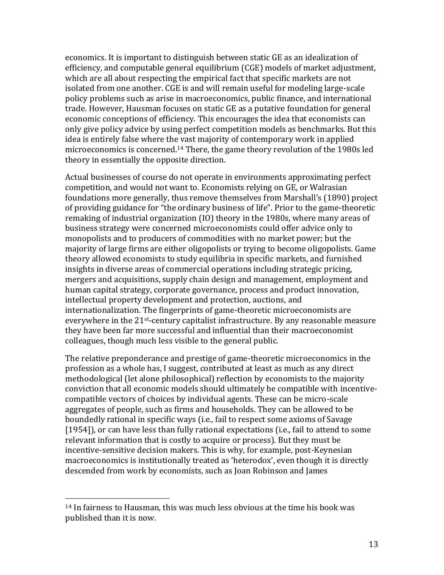economics. It is important to distinguish between static GE as an idealization of efficiency, and computable general equilibrium (CGE) models of market adjustment, which are all about respecting the empirical fact that specific markets are not isolated from one another. CGE is and will remain useful for modeling large-scale policy problems such as arise in macroeconomics, public finance, and international trade. However, Hausman focuses on static GE as a putative foundation for general economic conceptions of efficiency. This encourages the idea that economists can only give policy advice by using perfect competition models as benchmarks. But this idea is entirely false where the vast majority of contemporary work in applied microeconomics is concerned.<sup>14</sup> There, the game theory revolution of the 1980s led theory in essentially the opposite direction.

Actual businesses of course do not operate in environments approximating perfect competition, and would not want to. Economists relying on GE, or Walrasian foundations more generally, thus remove themselves from Marshall's (1890) project of providing guidance for "the ordinary business of life". Prior to the game-theoretic remaking of industrial organization (IO) theory in the 1980s, where many areas of business strategy were concerned microeconomists could offer advice only to monopolists and to producers of commodities with no market power; but the majority of large firms are either oligopolists or trying to become oligopolists. Game theory allowed economists to study equilibria in specific markets, and furnished insights in diverse areas of commercial operations including strategic pricing, mergers and acquisitions, supply chain design and management, employment and human capital strategy, corporate governance, process and product innovation, intellectual property development and protection, auctions, and internationalization. The fingerprints of game-theoretic microeconomists are everywhere in the 21st-century capitalist infrastructure. By any reasonable measure they have been far more successful and influential than their macroeconomist colleagues, though much less visible to the general public.

The relative preponderance and prestige of game-theoretic microeconomics in the profession as a whole has, I suggest, contributed at least as much as any direct methodological (let alone philosophical) reflection by economists to the majority conviction that all economic models should ultimately be compatible with incentivecompatible vectors of choices by individual agents. These can be micro-scale aggregates of people, such as firms and households. They can be allowed to be boundedly rational in specific ways (i.e., fail to respect some axioms of Savage [1954]), or can have less than fully rational expectations (i.e., fail to attend to some relevant information that is costly to acquire or process). But they must be incentive-sensitive decision makers. This is why, for example, post-Keynesian macroeconomics is institutionally treated as 'heterodox', even though it is directly descended from work by economists, such as Joan Robinson and James

<sup>14</sup> In fairness to Hausman, this was much less obvious at the time his book was published than it is now.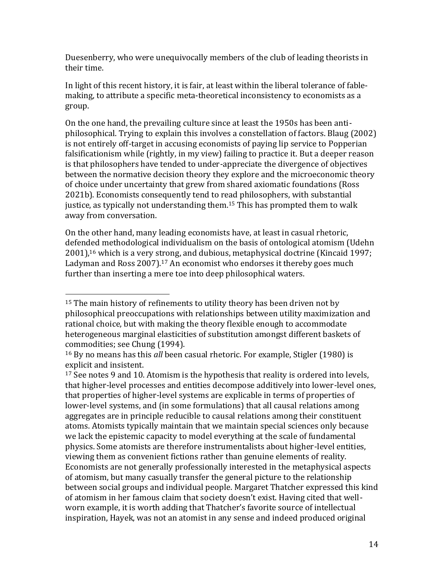Duesenberry, who were unequivocally members of the club of leading theorists in their time.

In light of this recent history, it is fair, at least within the liberal tolerance of fablemaking, to attribute a specific meta-theoretical inconsistency to economists as a group.

On the one hand, the prevailing culture since at least the 1950s has been antiphilosophical. Trying to explain this involves a constellation of factors. Blaug (2002) is not entirely off-target in accusing economists of paying lip service to Popperian falsificationism while (rightly, in my view) failing to practice it. But a deeper reason is that philosophers have tended to under-appreciate the divergence of objectives between the normative decision theory they explore and the microeconomic theory of choice under uncertainty that grew from shared axiomatic foundations (Ross 2021b). Economists consequently tend to read philosophers, with substantial justice, as typically not understanding them.<sup>15</sup> This has prompted them to walk away from conversation.

On the other hand, many leading economists have, at least in casual rhetoric, defended methodological individualism on the basis of ontological atomism (Udehn 2001),<sup>16</sup> which is a very strong, and dubious, metaphysical doctrine (Kincaid 1997; Ladyman and Ross 2007).<sup>17</sup> An economist who endorses it thereby goes much further than inserting a mere toe into deep philosophical waters.

<sup>17</sup> See notes 9 and 10. Atomism is the hypothesis that reality is ordered into levels, that higher-level processes and entities decompose additively into lower-level ones, that properties of higher-level systems are explicable in terms of properties of lower-level systems, and (in some formulations) that all causal relations among aggregates are in principle reducible to causal relations among their constituent atoms. Atomists typically maintain that we maintain special sciences only because we lack the epistemic capacity to model everything at the scale of fundamental physics. Some atomists are therefore instrumentalists about higher-level entities, viewing them as convenient fictions rather than genuine elements of reality. Economists are not generally professionally interested in the metaphysical aspects of atomism, but many casually transfer the general picture to the relationship between social groups and individual people. Margaret Thatcher expressed this kind of atomism in her famous claim that society doesn't exist. Having cited that wellworn example, it is worth adding that Thatcher's favorite source of intellectual inspiration, Hayek, was not an atomist in any sense and indeed produced original

<sup>&</sup>lt;sup>15</sup> The main history of refinements to utility theory has been driven not by philosophical preoccupations with relationships between utility maximization and rational choice, but with making the theory flexible enough to accommodate heterogeneous marginal elasticities of substitution amongst different baskets of commodities; see Chung (1994).

<sup>16</sup> By no means has this *all* been casual rhetoric. For example, Stigler (1980) is explicit and insistent.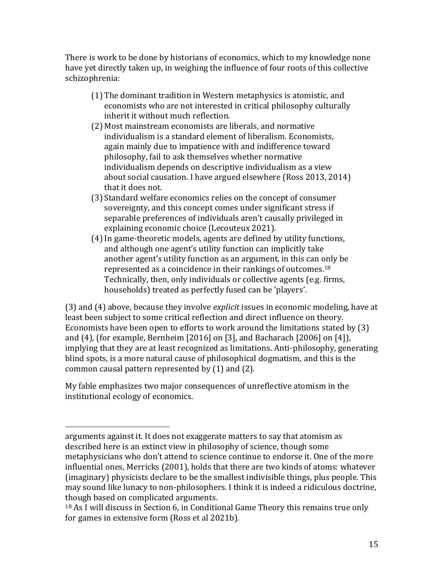There is work to be done by historians of economics, which to my knowledge none have yet directly taken up, in weighing the influence of four roots of this collective schizophrenia:

- (1) The dominant tradition in Western metaphysics is atomistic, and economists who are not interested in critical philosophy culturally inherit it without much reflection.
- (2) Most mainstream economists are liberals, and normative individualism is a standard element of liberalism. Economists, again mainly due to impatience with and indifference toward philosophy, fail to ask themselves whether normative individualism depends on descriptive individualism as a view about social causation. I have argued elsewhere (Ross 2013, 2014) that it does not.
- (3) Standard welfare economics relies on the concept of consumer sovereignty, and this concept comes under significant stress if separable preferences of individuals aren't causally privileged in explaining economic choice (Lecouteux 2021).
- (4)In game-theoretic models, agents are defined by utility functions, and although one agent's utility function can implicitly take another agent's utility function as an argument, in this can only be represented as a coincidence in their rankings of outcomes. 18 Technically, then, only individuals or collective agents (e.g. firms, households) treated as perfectly fused can be 'players'.

(3) and (4) above, because they involve *explicit* issues in economic modeling, have at least been subject to some critical reflection and direct influence on theory. Economists have been open to efforts to work around the limitations stated by (3) and (4), (for example, Bernheim [2016] on [3], and Bacharach [2006] on [4]), implying that they are at least recognized as limitations. Anti-philosophy, generating blind spots, is a more natural cause of philosophical dogmatism, and this is the common causal pattern represented by (1) and (2).

My fable emphasizes two major consequences of unreflective atomism in the institutional ecology of economics.

arguments against it. It does not exaggerate matters to say that atomism as described here is an extinct view in philosophy of science, though some metaphysicians who don't attend to science continue to endorse it. One of the more influential ones, Merricks (2001), holds that there are two kinds of atoms: whatever (imaginary) physicists declare to be the smallest indivisible things, plus people. This may sound like lunacy to non-philosophers. I think it is indeed a ridiculous doctrine, though based on complicated arguments.

<sup>18</sup> As I will discuss in Section 6, in Conditional Game Theory this remains true only for games in extensive form (Ross et al 2021b).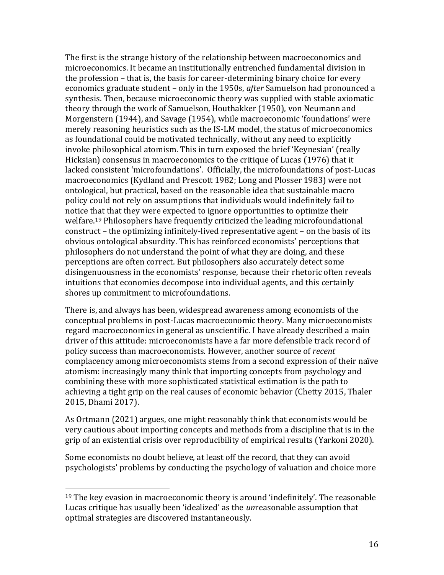The first is the strange history of the relationship between macroeconomics and microeconomics. It became an institutionally entrenched fundamental division in the profession – that is, the basis for career-determining binary choice for every economics graduate student – only in the 1950s, *after* Samuelson had pronounced a synthesis. Then, because microeconomic theory was supplied with stable axiomatic theory through the work of Samuelson, Houthakker (1950), von Neumann and Morgenstern (1944), and Savage (1954), while macroeconomic 'foundations' were merely reasoning heuristics such as the IS-LM model, the status of microeconomics as foundational could be motivated technically, without any need to explicitly invoke philosophical atomism. This in turn exposed the brief 'Keynesian' (really Hicksian) consensus in macroeconomics to the critique of Lucas (1976) that it lacked consistent 'microfoundations'. Officially, the microfoundations of post-Lucas macroeconomics (Kydland and Prescott 1982; Long and Plosser 1983) were not ontological, but practical, based on the reasonable idea that sustainable macro policy could not rely on assumptions that individuals would indefinitely fail to notice that that they were expected to ignore opportunities to optimize their welfare. <sup>19</sup> Philosophers have frequently criticized the leading microfoundational construct – the optimizing infinitely-lived representative agent – on the basis of its obvious ontological absurdity. This has reinforced economists' perceptions that philosophers do not understand the point of what they are doing, and these perceptions are often correct. But philosophers also accurately detect some disingenuousness in the economists' response, because their rhetoric often reveals intuitions that economies decompose into individual agents, and this certainly shores up commitment to microfoundations.

There is, and always has been, widespread awareness among economists of the conceptual problems in post-Lucas macroeconomic theory. Many microeconomists regard macroeconomics in general as unscientific. I have already described a main driver of this attitude: microeconomists have a far more defensible track record of policy success than macroeconomists. However, another source of *recent*  complacency among microeconomists stems from a second expression of their naïve atomism: increasingly many think that importing concepts from psychology and combining these with more sophisticated statistical estimation is the path to achieving a tight grip on the real causes of economic behavior (Chetty 2015, Thaler 2015, Dhami 2017).

As Ortmann (2021) argues, one might reasonably think that economists would be very cautious about importing concepts and methods from a discipline that is in the grip of an existential crisis over reproducibility of empirical results (Yarkoni 2020).

Some economists no doubt believe, at least off the record, that they can avoid psychologists' problems by conducting the psychology of valuation and choice more

<sup>19</sup> The key evasion in macroeconomic theory is around 'indefinitely'. The reasonable Lucas critique has usually been 'idealized' as the *un*reasonable assumption that optimal strategies are discovered instantaneously.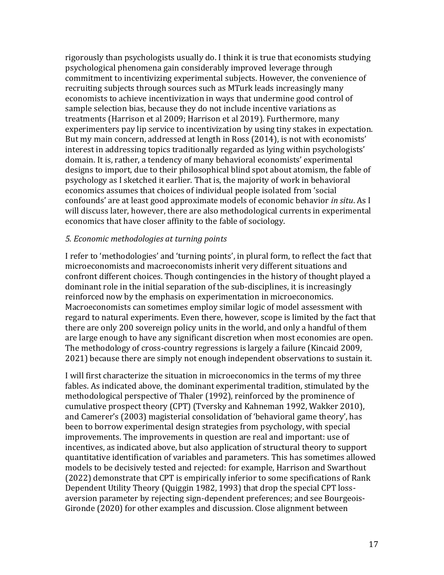rigorously than psychologists usually do. I think it is true that economists studying psychological phenomena gain considerably improved leverage through commitment to incentivizing experimental subjects. However, the convenience of recruiting subjects through sources such as MTurk leads increasingly many economists to achieve incentivization in ways that undermine good control of sample selection bias, because they do not include incentive variations as treatments (Harrison et al 2009; Harrison et al 2019). Furthermore, many experimenters pay lip service to incentivization by using tiny stakes in expectation. But my main concern, addressed at length in Ross (2014), is not with economists' interest in addressing topics traditionally regarded as lying within psychologists' domain. It is, rather, a tendency of many behavioral economists' experimental designs to import, due to their philosophical blind spot about atomism, the fable of psychology as I sketched it earlier. That is, the majority of work in behavioral economics assumes that choices of individual people isolated from 'social confounds' are at least good approximate models of economic behavior *in situ*. As I will discuss later, however, there are also methodological currents in experimental economics that have closer affinity to the fable of sociology.

### *5. Economic methodologies at turning points*

I refer to 'methodologies' and 'turning points', in plural form, to reflect the fact that microeconomists and macroeconomists inherit very different situations and confront different choices. Though contingencies in the history of thought played a dominant role in the initial separation of the sub-disciplines, it is increasingly reinforced now by the emphasis on experimentation in microeconomics. Macroeconomists can sometimes employ similar logic of model assessment with regard to natural experiments. Even there, however, scope is limited by the fact that there are only 200 sovereign policy units in the world, and only a handful of them are large enough to have any significant discretion when most economies are open. The methodology of cross-country regressions is largely a failure (Kincaid 2009, 2021) because there are simply not enough independent observations to sustain it.

I will first characterize the situation in microeconomics in the terms of my three fables. As indicated above, the dominant experimental tradition, stimulated by the methodological perspective of Thaler (1992), reinforced by the prominence of cumulative prospect theory (CPT) (Tversky and Kahneman 1992, Wakker 2010), and Camerer's (2003) magisterial consolidation of 'behavioral game theory', has been to borrow experimental design strategies from psychology, with special improvements. The improvements in question are real and important: use of incentives, as indicated above, but also application of structural theory to support quantitative identification of variables and parameters. This has sometimes allowed models to be decisively tested and rejected: for example, Harrison and Swarthout (2022) demonstrate that CPT is empirically inferior to some specifications of Rank Dependent Utility Theory (Quiggin 1982, 1993) that drop the special CPT lossaversion parameter by rejecting sign-dependent preferences; and see Bourgeois-Gironde (2020) for other examples and discussion. Close alignment between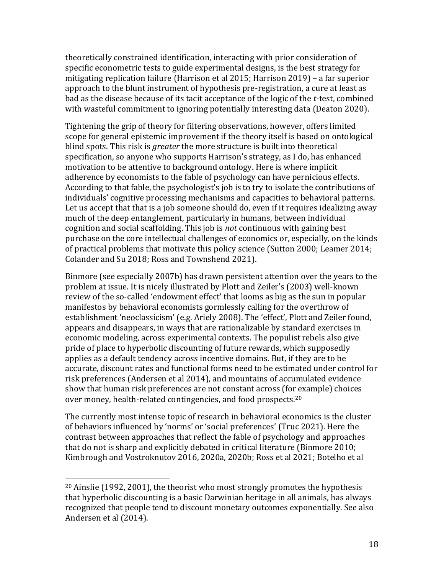theoretically constrained identification, interacting with prior consideration of specific econometric tests to guide experimental designs, is the best strategy for mitigating replication failure (Harrison et al 2015; Harrison 2019) – a far superior approach to the blunt instrument of hypothesis pre-registration, a cure at least as bad as the disease because of its tacit acceptance of the logic of the *t*-test, combined with wasteful commitment to ignoring potentially interesting data (Deaton 2020).

Tightening the grip of theory for filtering observations, however, offers limited scope for general epistemic improvement if the theory itself is based on ontological blind spots. This risk is *greater* the more structure is built into theoretical specification, so anyone who supports Harrison's strategy, as I do, has enhanced motivation to be attentive to background ontology. Here is where implicit adherence by economists to the fable of psychology can have pernicious effects. According to that fable, the psychologist's job is to try to isolate the contributions of individuals' cognitive processing mechanisms and capacities to behavioral patterns. Let us accept that that is a job someone should do, even if it requires idealizing away much of the deep entanglement, particularly in humans, between individual cognition and social scaffolding. This job is *not* continuous with gaining best purchase on the core intellectual challenges of economics or, especially, on the kinds of practical problems that motivate this policy science (Sutton 2000; Leamer 2014; Colander and Su 2018; Ross and Townshend 2021).

Binmore (see especially 2007b) has drawn persistent attention over the years to the problem at issue. It is nicely illustrated by Plott and Zeiler's (2003) well-known review of the so-called 'endowment effect' that looms as big as the sun in popular manifestos by behavioral economists gormlessly calling for the overthrow of establishment 'neoclassicism' (e.g. Ariely 2008). The 'effect', Plott and Zeiler found, appears and disappears, in ways that are rationalizable by standard exercises in economic modeling, across experimental contexts. The populist rebels also give pride of place to hyperbolic discounting of future rewards, which supposedly applies as a default tendency across incentive domains. But, if they are to be accurate, discount rates and functional forms need to be estimated under control for risk preferences (Andersen et al 2014), and mountains of accumulated evidence show that human risk preferences are not constant across (for example) choices over money, health-related contingencies, and food prospects.<sup>20</sup>

The currently most intense topic of research in behavioral economics is the cluster of behaviors influenced by 'norms' or 'social preferences' (Truc 2021). Here the contrast between approaches that reflect the fable of psychology and approaches that do not is sharp and explicitly debated in critical literature (Binmore 2010; Kimbrough and Vostroknutov 2016, 2020a, 2020b; Ross et al 2021; Botelho et al

<sup>20</sup> Ainslie (1992, 2001), the theorist who most strongly promotes the hypothesis that hyperbolic discounting is a basic Darwinian heritage in all animals, has always recognized that people tend to discount monetary outcomes exponentially. See also Andersen et al (2014).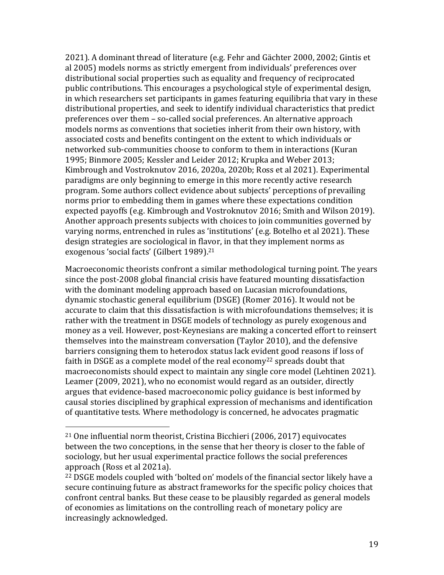2021). A dominant thread of literature (e.g. Fehr and Gächter 2000, 2002; Gintis et al 2005) models norms as strictly emergent from individuals' preferences over distributional social properties such as equality and frequency of reciprocated public contributions. This encourages a psychological style of experimental design, in which researchers set participants in games featuring equilibria that vary in these distributional properties, and seek to identify individual characteristics that predict preferences over them – so-called social preferences. An alternative approach models norms as conventions that societies inherit from their own history, with associated costs and benefits contingent on the extent to which individuals or networked sub-communities choose to conform to them in interactions (Kuran 1995; Binmore 2005; Kessler and Leider 2012; Krupka and Weber 2013; Kimbrough and Vostroknutov 2016, 2020a, 2020b; Ross et al 2021). Experimental paradigms are only beginning to emerge in this more recently active research program. Some authors collect evidence about subjects' perceptions of prevailing norms prior to embedding them in games where these expectations condition expected payoffs (e.g. Kimbrough and Vostroknutov 2016; Smith and Wilson 2019). Another approach presents subjects with choices to join communities governed by varying norms, entrenched in rules as 'institutions' (e.g. Botelho et al 2021). These design strategies are sociological in flavor, in that they implement norms as exogenous 'social facts' (Gilbert 1989).<sup>21</sup>

Macroeconomic theorists confront a similar methodological turning point. The years since the post-2008 global financial crisis have featured mounting dissatisfaction with the dominant modeling approach based on Lucasian microfoundations, dynamic stochastic general equilibrium (DSGE) (Romer 2016). It would not be accurate to claim that this dissatisfaction is with microfoundations themselves; it is rather with the treatment in DSGE models of technology as purely exogenous and money as a veil. However, post-Keynesians are making a concerted effort to reinsert themselves into the mainstream conversation (Taylor 2010), and the defensive barriers consigning them to heterodox status lack evident good reasons if loss of faith in DSGE as a complete model of the real economy<sup>22</sup> spreads doubt that macroeconomists should expect to maintain any single core model (Lehtinen 2021). Leamer (2009, 2021), who no economist would regard as an outsider, directly argues that evidence-based macroeconomic policy guidance is best informed by causal stories disciplined by graphical expression of mechanisms and identification of quantitative tests. Where methodology is concerned, he advocates pragmatic

<sup>21</sup> One influential norm theorist, Cristina Bicchieri (2006, 2017) equivocates between the two conceptions, in the sense that her theory is closer to the fable of sociology, but her usual experimental practice follows the social preferences approach (Ross et al 2021a).

<sup>22</sup> DSGE models coupled with 'bolted on' models of the financial sector likely have a secure continuing future as abstract frameworks for the specific policy choices that confront central banks. But these cease to be plausibly regarded as general models of economies as limitations on the controlling reach of monetary policy are increasingly acknowledged.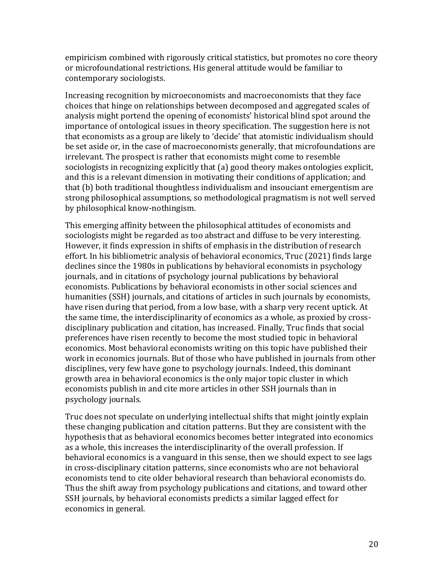empiricism combined with rigorously critical statistics, but promotes no core theory or microfoundational restrictions. His general attitude would be familiar to contemporary sociologists.

Increasing recognition by microeconomists and macroeconomists that they face choices that hinge on relationships between decomposed and aggregated scales of analysis might portend the opening of economists' historical blind spot around the importance of ontological issues in theory specification. The suggestion here is not that economists as a group are likely to 'decide' that atomistic individualism should be set aside or, in the case of macroeconomists generally, that microfoundations are irrelevant. The prospect is rather that economists might come to resemble sociologists in recognizing explicitly that (a) good theory makes ontologies explicit, and this is a relevant dimension in motivating their conditions of application; and that (b) both traditional thoughtless individualism and insouciant emergentism are strong philosophical assumptions, so methodological pragmatism is not well served by philosophical know-nothingism.

This emerging affinity between the philosophical attitudes of economists and sociologists might be regarded as too abstract and diffuse to be very interesting. However, it finds expression in shifts of emphasis in the distribution of research effort. In his bibliometric analysis of behavioral economics, Truc (2021) finds large declines since the 1980s in publications by behavioral economists in psychology journals, and in citations of psychology journal publications by behavioral economists. Publications by behavioral economists in other social sciences and humanities (SSH) journals, and citations of articles in such journals by economists, have risen during that period, from a low base, with a sharp very recent uptick. At the same time, the interdisciplinarity of economics as a whole, as proxied by crossdisciplinary publication and citation, has increased. Finally, Truc finds that social preferences have risen recently to become the most studied topic in behavioral economics. Most behavioral economists writing on this topic have published their work in economics journals. But of those who have published in journals from other disciplines, very few have gone to psychology journals. Indeed, this dominant growth area in behavioral economics is the only major topic cluster in which economists publish in and cite more articles in other SSH journals than in psychology journals.

Truc does not speculate on underlying intellectual shifts that might jointly explain these changing publication and citation patterns. But they are consistent with the hypothesis that as behavioral economics becomes better integrated into economics as a whole, this increases the interdisciplinarity of the overall profession. If behavioral economics is a vanguard in this sense, then we should expect to see lags in cross-disciplinary citation patterns, since economists who are not behavioral economists tend to cite older behavioral research than behavioral economists do. Thus the shift away from psychology publications and citations, and toward other SSH journals, by behavioral economists predicts a similar lagged effect for economics in general.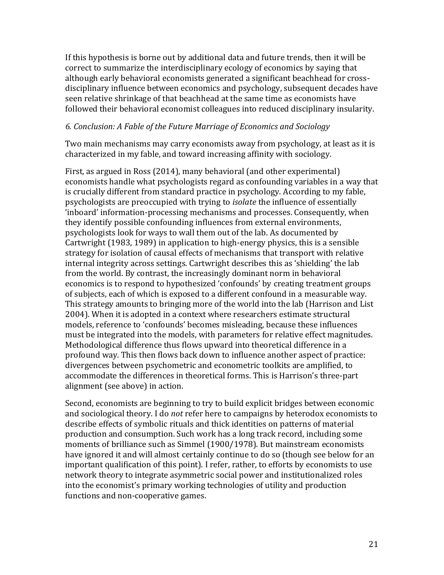If this hypothesis is borne out by additional data and future trends, then it will be correct to summarize the interdisciplinary ecology of economics by saying that although early behavioral economists generated a significant beachhead for crossdisciplinary influence between economics and psychology, subsequent decades have seen relative shrinkage of that beachhead at the same time as economists have followed their behavioral economist colleagues into reduced disciplinary insularity.

### *6. Conclusion: A Fable of the Future Marriage of Economics and Sociology*

Two main mechanisms may carry economists away from psychology, at least as it is characterized in my fable, and toward increasing affinity with sociology.

First, as argued in Ross (2014), many behavioral (and other experimental) economists handle what psychologists regard as confounding variables in a way that is crucially different from standard practice in psychology. According to my fable, psychologists are preoccupied with trying to *isolate* the influence of essentially 'inboard' information-processing mechanisms and processes. Consequently, when they identify possible confounding influences from external environments, psychologists look for ways to wall them out of the lab. As documented by Cartwright (1983, 1989) in application to high-energy physics, this is a sensible strategy for isolation of causal effects of mechanisms that transport with relative internal integrity across settings. Cartwright describes this as 'shielding' the lab from the world. By contrast, the increasingly dominant norm in behavioral economics is to respond to hypothesized 'confounds' by creating treatment groups of subjects, each of which is exposed to a different confound in a measurable way. This strategy amounts to bringing more of the world into the lab (Harrison and List 2004). When it is adopted in a context where researchers estimate structural models, reference to 'confounds' becomes misleading, because these influences must be integrated into the models, with parameters for relative effect magnitudes. Methodological difference thus flows upward into theoretical difference in a profound way. This then flows back down to influence another aspect of practice: divergences between psychometric and econometric toolkits are amplified, to accommodate the differences in theoretical forms. This is Harrison's three-part alignment (see above) in action.

Second, economists are beginning to try to build explicit bridges between economic and sociological theory. I do *not* refer here to campaigns by heterodox economists to describe effects of symbolic rituals and thick identities on patterns of material production and consumption. Such work has a long track record, including some moments of brilliance such as Simmel (1900/1978). But mainstream economists have ignored it and will almost certainly continue to do so (though see below for an important qualification of this point). I refer, rather, to efforts by economists to use network theory to integrate asymmetric social power and institutionalized roles into the economist's primary working technologies of utility and production functions and non-cooperative games.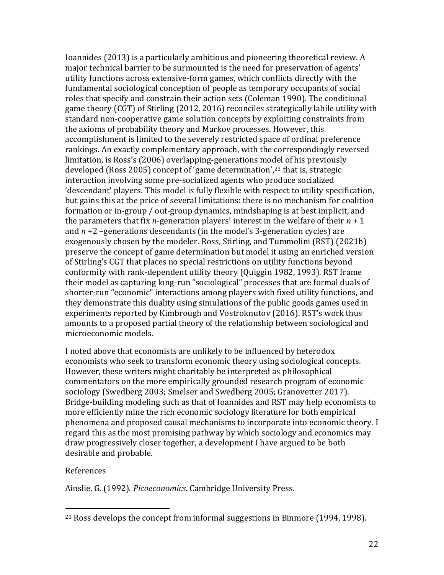Ioannides (2013) is a particularly ambitious and pioneering theoretical review. A major technical barrier to be surmounted is the need for preservation of agents' utility functions across extensive-form games, which conflicts directly with the fundamental sociological conception of people as temporary occupants of social roles that specify and constrain their action sets (Coleman 1990). The conditional game theory (CGT) of Stirling (2012, 2016) reconciles strategically labile utility with standard non-cooperative game solution concepts by exploiting constraints from the axioms of probability theory and Markov processes. However, this accomplishment is limited to the severely restricted space of ordinal preference rankings. An exactly complementary approach, with the correspondingly reversed limitation, is Ross's (2006) overlapping-generations model of his previously developed (Ross 2005) concept of 'game determination', <sup>23</sup> that is, strategic interaction involving some pre-socialized agents who produce socialized 'descendant' players. This model is fully flexible with respect to utility specification, but gains this at the price of several limitations: there is no mechanism for coalition formation or in-group / out-group dynamics, mindshaping is at best implicit, and the parameters that fix *n*-generation players' interest in the welfare of their  $n + 1$ and *n* +2 –generations descendants (in the model's 3-generation cycles) are exogenously chosen by the modeler. Ross, Stirling, and Tummolini (RST) (2021b) preserve the concept of game determination but model it using an enriched version of Stirling's CGT that places no special restrictions on utility functions beyond conformity with rank-dependent utility theory (Quiggin 1982, 1993). RST frame their model as capturing long-run "sociological" processes that are formal duals of shorter-run "economic" interactions among players with fixed utility functions, and they demonstrate this duality using simulations of the public goods games used in experiments reported by Kimbrough and Vostroknutov (2016). RST's work thus amounts to a proposed partial theory of the relationship between sociological and microeconomic models.

I noted above that economists are unlikely to be influenced by heterodox economists who seek to transform economic theory using sociological concepts. However, these writers might charitably be interpreted as philosophical commentators on the more empirically grounded research program of economic sociology (Swedberg 2003; Smelser and Swedberg 2005; Granovetter 2017). Bridge-building modeling such as that of Ioannides and RST may help economists to more efficiently mine the rich economic sociology literature for both empirical phenomena and proposed causal mechanisms to incorporate into economic theory. I regard this as the most promising pathway by which sociology and economics may draw progressively closer together, a development I have argued to be both desirable and probable.

## References

Ainslie, G. (1992). *Picoeconomics*. Cambridge University Press.

<sup>&</sup>lt;sup>23</sup> Ross develops the concept from informal suggestions in Binmore (1994, 1998).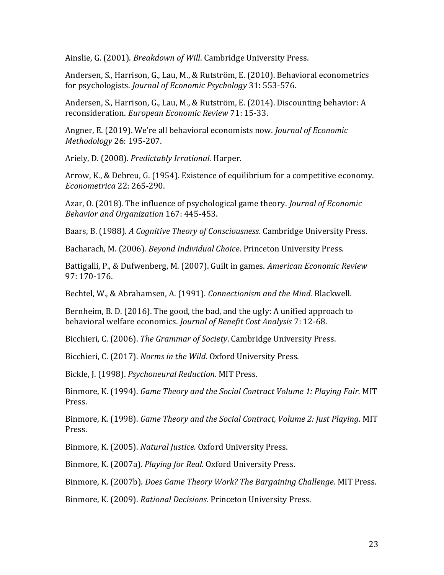Ainslie, G. (2001). *Breakdown of Will*. Cambridge University Press.

Andersen, S., Harrison, G., Lau, M., & Rutström, E. (2010). Behavioral econometrics for psychologists. *Journal of Economic Psychology* 31: 553-576.

Andersen, S., Harrison, G., Lau, M., & Rutström, E. (2014). Discounting behavior: A reconsideration. *European Economic Review* 71: 15-33.

Angner, E. (2019). We're all behavioral economists now. *Journal of Economic Methodology* 26: 195-207.

Ariely, D. (2008). *Predictably Irrational.* Harper.

Arrow, K., & Debreu, G. (1954). Existence of equilibrium for a competitive economy. *Econometrica* 22: 265-290.

Azar, O. (2018). The influence of psychological game theory. *Journal of Economic Behavior and Organization* 167: 445-453.

Baars, B. (1988). *A Cognitive Theory of Consciousness.* Cambridge University Press.

Bacharach, M. (2006). *Beyond Individual Choice*. Princeton University Press.

Battigalli, P., & Dufwenberg, M. (2007). Guilt in games. *American Economic Review*  97: 170-176.

Bechtel, W., & Abrahamsen, A. (1991). *Connectionism and the Mind.* Blackwell.

Bernheim, B. D. (2016). The good, the bad, and the ugly: A unified approach to behavioral welfare economics. *Journal of Benefit Cost Analysis* 7: 12-68.

Bicchieri, C. (2006). *The Grammar of Society*. Cambridge University Press.

Bicchieri, C. (2017). *Norms in the Wild*. Oxford University Press.

Bickle, J. (1998). *Psychoneural Reduction.* MIT Press.

Binmore, K. (1994). *Game Theory and the Social Contract Volume 1: Playing Fair.* MIT Press.

Binmore, K. (1998). *Game Theory and the Social Contract, Volume 2: Just Playing*. MIT Press.

Binmore, K. (2005). *Natural Justice.* Oxford University Press.

Binmore, K. (2007a). *Playing for Real.* Oxford University Press.

Binmore, K. (2007b). *Does Game Theory Work? The Bargaining Challenge.* MIT Press.

Binmore, K. (2009). *Rational Decisions.* Princeton University Press.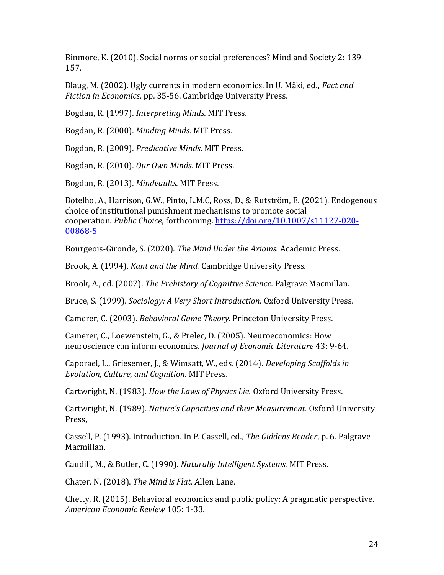Binmore, K. (2010). Social norms or social preferences? Mind and Society 2: 139- 157.

Blaug, M. (2002). Ugly currents in modern economics. In U. Mäki, ed., *Fact and Fiction in Economics*, pp. 35-56. Cambridge University Press.

Bogdan, R. (1997). *Interpreting Minds*. MIT Press.

Bogdan, R. (2000). *Minding Minds*. MIT Press.

Bogdan, R. (2009). *Predicative Minds*. MIT Press.

Bogdan, R. (2010). *Our Own Minds*. MIT Press.

Bogdan, R. (2013). *Mindvaults*. MIT Press.

Botelho, A., Harrison, G.W., Pinto, L.M.C, Ross, D., & Rutström, E. (2021)*.* Endogenous choice of institutional punishment mechanisms to promote social cooperation. *Public Choice*, forthcoming. [https://doi.org/10.1007/s11127-020-](https://doi.org/10.1007/s11127-020-00868-5) [00868-5](https://doi.org/10.1007/s11127-020-00868-5)

Bourgeois-Gironde, S. (2020). *The Mind Under the Axioms.* Academic Press.

Brook, A. (1994). *Kant and the Mind.* Cambridge University Press.

Brook, A., ed. (2007). *The Prehistory of Cognitive Science.* Palgrave Macmillan.

Bruce, S. (1999). *Sociology: A Very Short Introduction.* Oxford University Press.

Camerer, C. (2003). *Behavioral Game Theory.* Princeton University Press.

Camerer, C., Loewenstein, G., & Prelec, D. (2005). Neuroeconomics: How neuroscience can inform economics. *Journal of Economic Literature* 43: 9-64.

Caporael, L., Griesemer, J., & Wimsatt, W., eds. (2014). *Developing Scaffolds in Evolution, Culture, and Cognition.* MIT Press.

Cartwright, N. (1983). *How the Laws of Physics Lie.* Oxford University Press.

Cartwright, N. (1989). *Nature's Capacities and their Measurement.* Oxford University Press,

Cassell, P. (1993). Introduction. In P. Cassell, ed., *The Giddens Reader*, p. 6. Palgrave Macmillan.

Caudill, M., & Butler, C. (1990). *Naturally Intelligent Systems.* MIT Press.

Chater, N. (2018). *The Mind is Flat.* Allen Lane.

Chetty, R. (2015). Behavioral economics and public policy: A pragmatic perspective. *American Economic Review* 105: 1-33.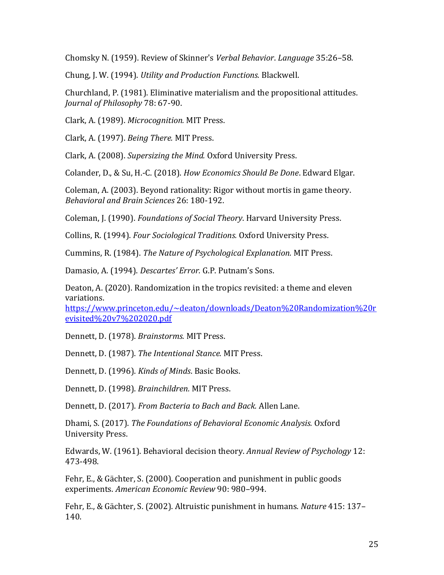Chomsky N. (1959). Review of Skinner's *Verbal Behavior*. *Language* 35:26–58.

Chung, J. W. (1994). *Utility and Production Functions.* Blackwell.

Churchland, P. (1981). Eliminative materialism and the propositional attitudes. *Journal of Philosophy* 78: 67-90.

Clark, A. (1989). *Microcognition.* MIT Press.

Clark, A. (1997). *Being There.* MIT Press.

Clark, A. (2008). *Supersizing the Mind.* Oxford University Press.

Colander, D., & Su, H.-C. (2018). *How Economics Should Be Done*. Edward Elgar.

Coleman, A. (2003). Beyond rationality: Rigor without mortis in game theory. *Behavioral and Brain Sciences* 26: 180-192.

Coleman, J. (1990). *Foundations of Social Theory*. Harvard University Press.

Collins, R. (1994). *Four Sociological Traditions.* Oxford University Press.

Cummins, R. (1984). *The Nature of Psychological Explanation.* MIT Press.

Damasio, A. (1994). *Descartes' Error.* G.P. Putnam's Sons.

Deaton, A. (2020). Randomization in the tropics revisited: a theme and eleven variations.

[https://www.princeton.edu/~deaton/downloads/Deaton%20Randomization%20r](https://www.princeton.edu/~deaton/downloads/Deaton%20Randomization%20revisited%20v7%202020.pdf) [evisited%20v7%202020.pdf](https://www.princeton.edu/~deaton/downloads/Deaton%20Randomization%20revisited%20v7%202020.pdf)

Dennett, D. (1978). *Brainstorms.* MIT Press.

Dennett, D. (1987). *The Intentional Stance.* MIT Press.

Dennett, D. (1996). *Kinds of Minds*. Basic Books.

Dennett, D. (1998). *Brainchildren.* MIT Press.

Dennett, D. (2017). *From Bacteria to Bach and Back.* Allen Lane.

Dhami, S. (2017). *The Foundations of Behavioral Economic Analysis.* Oxford University Press.

Edwards, W. (1961). Behavioral decision theory. *Annual Review of Psychology* 12: 473-498.

Fehr, E., & Gächter, S. (2000). Cooperation and punishment in public goods experiments. *American Economic Review* 90: 980–994.

Fehr, E., & Gächter, S. (2002). Altruistic punishment in humans. *Nature* 415: 137– 140.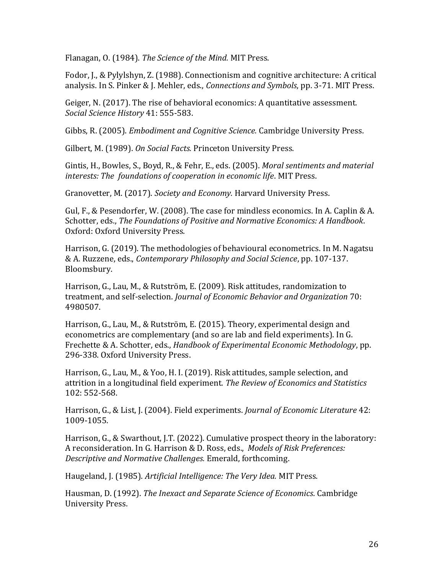Flanagan, O. (1984). *The Science of the Mind.* MIT Press.

Fodor, J., & Pylylshyn, Z. (1988). Connectionism and cognitive architecture: A critical analysis. In S. Pinker & J. Mehler, eds., *Connections and Symbols*, pp. 3-71. MIT Press.

Geiger, N. (2017). The rise of behavioral economics: A quantitative assessment. *Social Science History* 41: 555-583.

Gibbs, R. (2005). *Embodiment and Cognitive Science.* Cambridge University Press.

Gilbert, M. (1989). *On Social Facts.* Princeton University Press.

Gintis, H., Bowles, S., Boyd, R., & Fehr, E., eds. (2005). *Moral sentiments and material interests: The foundations of cooperation in economic life*. MIT Press.

Granovetter, M. (2017). *Society and Economy.* Harvard University Press.

Gul, F., & Pesendorfer, W. (2008). The case for mindless economics. In A. Caplin & A. Schotter, eds., *The Foundations of Positive and Normative Economics: A Handbook*. Oxford: Oxford University Press.

Harrison, G. (2019). The methodologies of behavioural econometrics. In M. Nagatsu & A. Ruzzene, eds., *Contemporary Philosophy and Social Science*, pp. 107-137. Bloomsbury.

Harrison, G., Lau, M., & Rutström, E. (2009). Risk attitudes, randomization to treatment, and self-selection. *Journal of Economic Behavior and Organization* 70: 4980507.

Harrison, G., Lau, M., & Rutström, E. (2015). Theory, experimental design and econometrics are complementary (and so are lab and field experiments). In G. Frechette & A. Schotter, eds., *Handbook of Experimental Economic Methodology*, pp. 296-338. Oxford University Press.

Harrison, G., Lau, M., & Yoo, H. I. (2019). Risk attitudes, sample selection, and attrition in a longitudinal field experiment. *The Review of Economics and Statistics*  102: 552-568.

Harrison, G., & List, J. (2004). Field experiments. *Journal of Economic Literature* 42: 1009-1055.

Harrison, G., & Swarthout, J.T. (2022). Cumulative prospect theory in the laboratory: A reconsideration. In G. Harrison & D. Ross, eds., *Models of Risk Preferences: Descriptive and Normative Challenges.* Emerald, forthcoming.

Haugeland, J. (1985). *Artificial Intelligence: The Very Idea.* MIT Press.

Hausman, D. (1992). *The Inexact and Separate Science of Economics*. Cambridge University Press.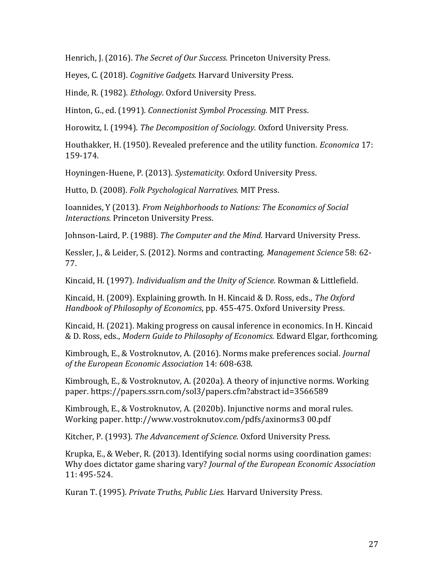Henrich, J. (2016). *The Secret of Our Success.* Princeton University Press.

Heyes, C. (2018). *Cognitive Gadgets.* Harvard University Press.

Hinde, R. (1982). *Ethology*. Oxford University Press.

Hinton, G., ed. (1991). *Connectionist Symbol Processing.* MIT Press.

Horowitz, I. (1994). *The Decomposition of Sociology.* Oxford University Press.

Houthakker, H. (1950). Revealed preference and the utility function. *Economica* 17: 159-174.

Hoyningen-Huene, P. (2013). *Systematicity.* Oxford University Press.

Hutto, D. (2008). *Folk Psychological Narratives.* MIT Press.

Ioannides, Y (2013). *From Neighborhoods to Nations: The Economics of Social Interactions.* Princeton University Press.

Johnson-Laird, P. (1988). *The Computer and the Mind.* Harvard University Press.

Kessler, J., & Leider, S. (2012). Norms and contracting. *Management Science* 58: 62- 77.

Kincaid, H. (1997). *Individualism and the Unity of Science.* Rowman & Littlefield.

Kincaid, H. (2009). Explaining growth. In H. Kincaid & D. Ross, eds., *The Oxford Handbook of Philosophy of Economics*, pp. 455-475. Oxford University Press.

Kincaid, H. (2021). Making progress on causal inference in economics. In H. Kincaid & D. Ross, eds., *Modern Guide to Philosophy of Economics.* Edward Elgar, forthcoming.

Kimbrough, E., & Vostroknutov, A. (2016). Norms make preferences social. *Journal of the European Economic Association* 14: 608-638.

Kimbrough, E., & Vostroknutov, A. (2020a). A theory of injunctive norms. Working paper. https://papers.ssrn.com/sol3/papers.cfm?abstract id=3566589

Kimbrough, E., & Vostroknutov, A. (2020b). Injunctive norms and moral rules. Working paper. http://www.vostroknutov.com/pdfs/axinorms3 00.pdf

Kitcher, P. (1993). *The Advancement of Science.* Oxford University Press.

Krupka, E., & Weber, R. (2013). Identifying social norms using coordination games: Why does dictator game sharing vary? *Journal of the European Economic Association*  11: 495-524.

Kuran T. (1995). *Private Truths, Public Lies.* Harvard University Press.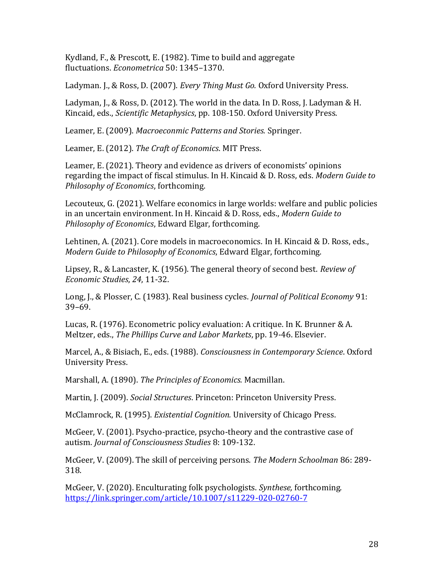Kydland, F., & Prescott, E. (1982). Time to build and aggregate fluctuations. *Econometrica* 50: 1345–1370.

Ladyman. J., & Ross, D. (2007). *Every Thing Must Go.* Oxford University Press.

Ladyman, J., & Ross, D. (2012). The world in the data. In D. Ross, J. Ladyman & H. Kincaid, eds., *Scientific Metaphysics*, pp. 108-150. Oxford University Press.

Leamer, E. (2009). *Macroeconmic Patterns and Stories.* Springer.

Leamer, E. (2012). *The Craft of Economics*. MIT Press.

Leamer, E. (2021). Theory and evidence as drivers of economists' opinions regarding the impact of fiscal stimulus. In H. Kincaid & D. Ross, eds. *Modern Guide to Philosophy of Economics*, forthcoming.

Lecouteux, G. (2021). Welfare economics in large worlds: welfare and public policies in an uncertain environment. In H. Kincaid & D. Ross, eds., *Modern Guide to Philosophy of Economics*, Edward Elgar, forthcoming.

Lehtinen, A. (2021). Core models in macroeconomics. In H. Kincaid & D. Ross, eds., *Modern Guide to Philosophy of Economics*, Edward Elgar, forthcoming.

Lipsey, R., & Lancaster, K. (1956). The general theory of second best. *Review of Economic Studies*, *24*, 11-32.

Long, J., & Plosser, C. (1983). Real business cycles. *Journal of Political Economy* 91: 39–69.

Lucas, R. (1976). Econometric policy evaluation: A critique. In K. Brunner & A. Meltzer, eds., *The Phillips Curve and Labor Markets*, pp. 19-46. Elsevier.

Marcel, A., & Bisiach, E., eds. (1988). *Consciousness in Contemporary Science*. Oxford University Press.

Marshall, A. (1890). *The Principles of Economics.* Macmillan.

Martin, J. (2009). *Social Structures*. Princeton: Princeton University Press.

McClamrock, R. (1995). *Existential Cognition.* University of Chicago Press.

McGeer, V. (2001). Psycho-practice, psycho-theory and the contrastive case of autism. *Journal of Consciousness Studies* 8: 109-132.

McGeer, V. (2009). The skill of perceiving persons. *The Modern Schoolman* 86: 289- 318.

McGeer, V. (2020). Enculturating folk psychologists. *Synthese,* forthcoming. <https://link.springer.com/article/10.1007/s11229-020-02760-7>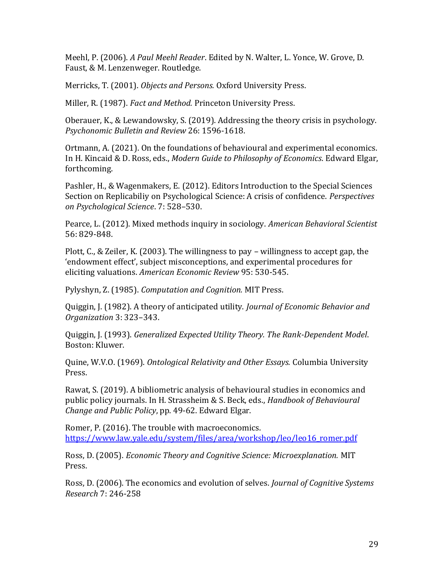Meehl, P. (2006). *A Paul Meehl Reader*. Edited by N. Walter, L. Yonce, W. Grove, D. Faust, & M. Lenzenweger. Routledge.

Merricks, T. (2001). *Objects and Persons.* Oxford University Press.

Miller, R. (1987). *Fact and Method.* Princeton University Press.

Oberauer, K., & Lewandowsky, S. (2019). Addressing the theory crisis in psychology. *Psychonomic Bulletin and Review* 26: 1596-1618.

Ortmann, A. (2021). On the foundations of behavioural and experimental economics. In H. Kincaid & D. Ross, eds., *Modern Guide to Philosophy of Economics*. Edward Elgar, forthcoming.

Pashler, H., & Wagenmakers, E. (2012). Editors Introduction to the Special Sciences Section on Replicabiliy on Psychological Science: A crisis of confidence. *Perspectives on Psychological Science*. 7: 528–530.

Pearce, L. (2012). Mixed methods inquiry in sociology. *American Behavioral Scientist*  56: 829-848.

Plott, C., & Zeiler, K. (2003). The willingness to pay – willingness to accept gap, the 'endowment effect', subject misconceptions, and experimental procedures for eliciting valuations. *American Economic Review* 95: 530-545.

Pylyshyn, Z. (1985). *Computation and Cognition.* MIT Press.

Quiggin, J. (1982). A theory of anticipated utility. *Journal of Economic Behavior and Organization* 3: 323–343.

Quiggin, J. (1993). *Generalized Expected Utility Theory. The Rank-Dependent Model*. Boston: Kluwer.

Quine, W.V.O. (1969). *Ontological Relativity and Other Essays.* Columbia University Press.

Rawat, S. (2019). A bibliometric analysis of behavioural studies in economics and public policy journals. In H. Strassheim & S. Beck, eds., *Handbook of Behavioural Change and Public Policy*, pp. 49-62. Edward Elgar.

Romer, P. (2016). The trouble with macroeconomics. [https://www.law.yale.edu/system/files/area/workshop/leo/leo16\\_romer.pdf](https://www.law.yale.edu/system/files/area/workshop/leo/leo16_romer.pdf)

Ross, D. (2005). *Economic Theory and Cognitive Science: Microexplanation.* MIT Press.

Ross, D. (2006). The economics and evolution of selves. *Journal of Cognitive Systems Research* 7: 246-258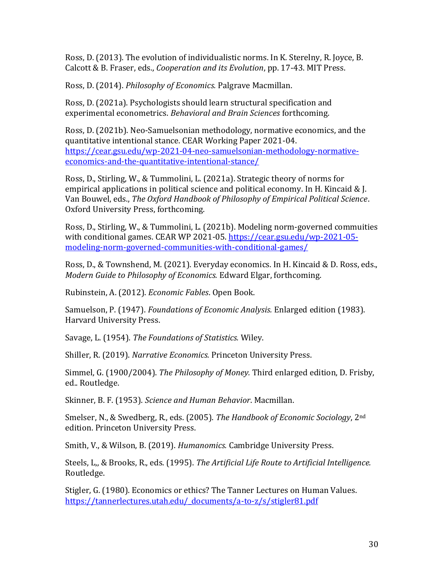Ross, D. (2013). The evolution of individualistic norms. In K. Sterelny, R. Joyce, B. Calcott & B. Fraser, eds., *Cooperation and its Evolution*, pp. 17-43. MIT Press.

Ross, D. (2014). *Philosophy of Economics.* Palgrave Macmillan.

Ross, D. (2021a). Psychologists should learn structural specification and experimental econometrics. *Behavioral and Brain Sciences* forthcoming.

Ross, D. (2021b). Neo-Samuelsonian methodology, normative economics, and the quantitative intentional stance. CEAR Working Paper 2021-04. [https://cear.gsu.edu/wp-2021-04-neo-samuelsonian-methodology-normative](https://cear.gsu.edu/wp-2021-04-neo-samuelsonian-methodology-normative-economics-and-the-quantitative-intentional-stance/)[economics-and-the-quantitative-intentional-stance/](https://cear.gsu.edu/wp-2021-04-neo-samuelsonian-methodology-normative-economics-and-the-quantitative-intentional-stance/)

Ross, D., Stirling, W., & Tummolini, L. (2021a). Strategic theory of norms for empirical applications in political science and political economy. In H. Kincaid & J. Van Bouwel, eds., *The Oxford Handbook of Philosophy of Empirical Political Science*. Oxford University Press, forthcoming.

Ross, D., Stirling, W., & Tummolini, L. (2021b). Modeling norm-governed commuities with conditional games. CEAR WP 2021-05. [https://cear.gsu.edu/wp-2021-05](https://cear.gsu.edu/wp-2021-05-modeling-norm-governed-communities-with-conditional-games/) [modeling-norm-governed-communities-with-conditional-games/](https://cear.gsu.edu/wp-2021-05-modeling-norm-governed-communities-with-conditional-games/)

Ross, D., & Townshend, M. (2021). Everyday economics. In H. Kincaid & D. Ross, eds., *Modern Guide to Philosophy of Economics.* Edward Elgar, forthcoming.

Rubinstein, A. (2012). *Economic Fables*. Open Book.

Samuelson, P. (1947). *Foundations of Economic Analysis.* Enlarged edition (1983). Harvard University Press.

Savage, L. (1954). *The Foundations of Statistics.* Wiley.

Shiller, R. (2019). *Narrative Economics.* Princeton University Press.

Simmel, G. (1900/2004). *The Philosophy of Money.* Third enlarged edition, D. Frisby, ed.. Routledge.

Skinner, B. F. (1953). *Science and Human Behavior*. Macmillan.

Smelser, N., & Swedberg, R., eds. (2005). *The Handbook of Economic Sociology*, 2nd edition. Princeton University Press.

Smith, V., & Wilson, B. (2019). *Humanomics.* Cambridge University Press.

Steels, L,, & Brooks, R., eds. (1995). *The Artificial Life Route to Artificial Intelligence.*  Routledge.

Stigler, G. (1980). Economics or ethics? The Tanner Lectures on Human Values. [https://tannerlectures.utah.edu/\\_documents/a-to-z/s/stigler81.pdf](https://tannerlectures.utah.edu/_documents/a-to-z/s/stigler81.pdf)